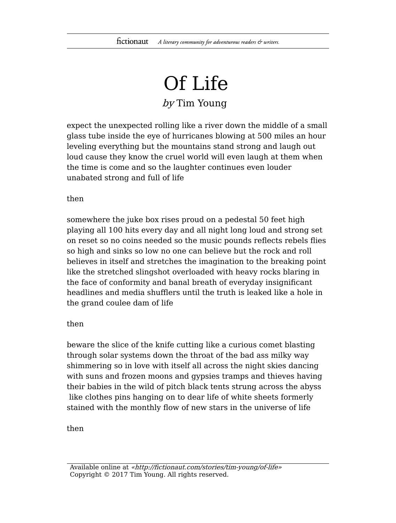## Of Life

## by Tim Young

expect the unexpected rolling like a river down the middle of a small glass tube inside the eye of hurricanes blowing at 500 miles an hour leveling everything but the mountains stand strong and laugh out loud cause they know the cruel world will even laugh at them when the time is come and so the laughter continues even louder unabated strong and full of life

## then

somewhere the juke box rises proud on a pedestal 50 feet high playing all 100 hits every day and all night long loud and strong set on reset so no coins needed so the music pounds reflects rebels flies so high and sinks so low no one can believe but the rock and roll believes in itself and stretches the imagination to the breaking point like the stretched slingshot overloaded with heavy rocks blaring in the face of conformity and banal breath of everyday insignificant headlines and media shufflers until the truth is leaked like a hole in the grand coulee dam of life

## then

beware the slice of the knife cutting like a curious comet blasting through solar systems down the throat of the bad ass milky way shimmering so in love with itself all across the night skies dancing with suns and frozen moons and gypsies tramps and thieves having their babies in the wild of pitch black tents strung across the abyss like clothes pins hanging on to dear life of white sheets formerly stained with the monthly flow of new stars in the universe of life

then